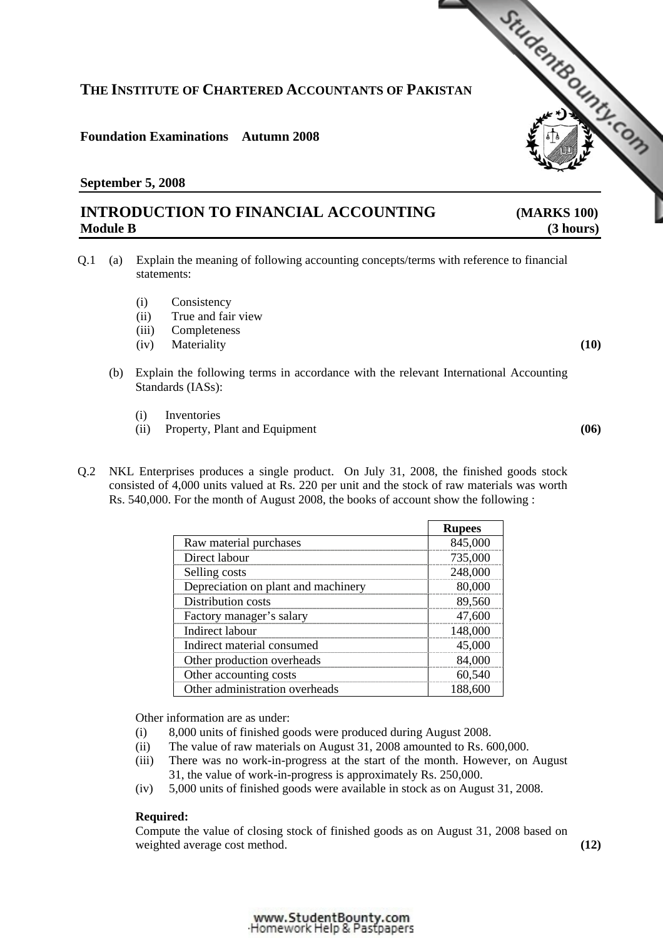### www.StudentBounty.com Homework Help & Pastpapers

# **THE INSTITUTE OF CHARTERED ACCOUNTANTS OF PAKISTAN**

# **Foundation Examinations Autumn 2008**

# **September 5, 2008**

# **INTRODUCTION TO FINANCIAL ACCOUNTING [\(MARKS 100\)](http://www.studentbounty.com/)  Module B** (3 hours)

- Q.1 (a) Explain the meaning of following accounting concepts/terms with reference to financial statements:
	- (i) Consistency
	- (ii) True and fair view
	- (iii) Completeness
	- (iv) Materiality **(10)**
	- (b) Explain the following terms in accordance with the relevant International Accounting Standards (IASs):
		- (i) Inventories
		- (ii) Property, Plant and Equipment **(06)**
- Q.2 NKL Enterprises produces a single product. On July 31, 2008, the finished goods stock consisted of 4,000 units valued at Rs. 220 per unit and the stock of raw materials was worth Rs. 540,000. For the month of August 2008, the books of account show the following :

|                                     | <b>Rupees</b> |
|-------------------------------------|---------------|
| Raw material purchases              | 845,000       |
| Direct labour                       | 735,000       |
| Selling costs                       | 248,000       |
| Depreciation on plant and machinery | 80,000        |
| Distribution costs                  | 89,560        |
| Factory manager's salary            | 47,600        |
| Indirect labour                     | 48.000        |
| Indirect material consumed          | 45,000        |
| Other production overheads          | 84.00         |
| Other accounting costs              |               |
| Other administration overheads      | .88.6         |

Other information are as under:

- (i) 8,000 units of finished goods were produced during August 2008.
- (ii) The value of raw materials on August 31, 2008 amounted to Rs. 600,000.
- (iii) There was no work-in-progress at the start of the month. However, on August 31, the value of work-in-progress is approximately Rs. 250,000.
- (iv) 5,000 units of finished goods were available in stock as on August 31, 2008.

# **Required:**

Compute the value of closing stock of finished goods as on August 31, 2008 based on weighted average cost method. **(12) (12)** 

StudentBoundary Com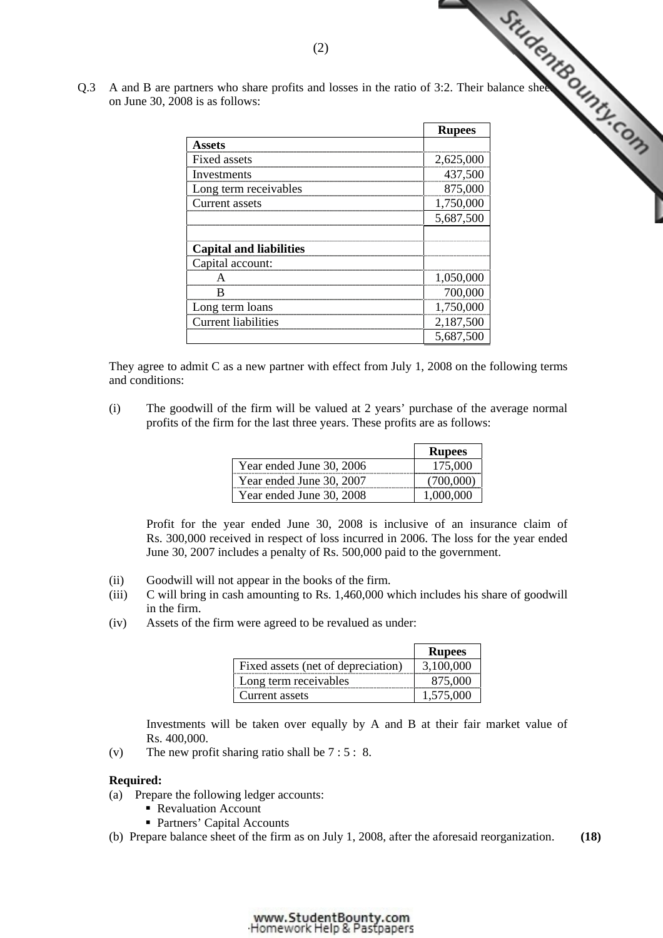| Q.3 | on June 30, 2008 is as follows: | (2)<br>A and B are partners who share profits and losses in the ratio of 3:2. Their balance shee |               | StudentBounty.com |
|-----|---------------------------------|--------------------------------------------------------------------------------------------------|---------------|-------------------|
|     |                                 |                                                                                                  | <b>Rupees</b> |                   |
|     |                                 | <b>Assets</b>                                                                                    |               |                   |
|     |                                 | Fixed assets                                                                                     | 2,625,000     |                   |
|     |                                 | Investments                                                                                      | 437,500       |                   |
|     |                                 | Long term receivables                                                                            | 875,000       |                   |
|     |                                 | Current assets                                                                                   | 1,750,000     |                   |
|     |                                 |                                                                                                  | 5,687,500     |                   |
|     |                                 | <b>Capital and liabilities</b>                                                                   |               |                   |
|     |                                 | Capital account:                                                                                 |               |                   |
|     |                                 | A                                                                                                | 1,050,000     |                   |
|     |                                 | B                                                                                                | 700,000       |                   |
|     |                                 | Long term loans                                                                                  | 1,750,000     |                   |
|     |                                 | <b>Current liabilities</b>                                                                       | 2,187,500     |                   |
|     |                                 |                                                                                                  | 5,687,500     |                   |

 They agree to admit C as a new partner with effect from July 1, 2008 on the following terms and conditions:

 (i) The goodwill of the firm will be valued at 2 years' purchase of the average normal profits of the firm for the last three years. These profits are as follows:

|                          | <b>Rupees</b> |
|--------------------------|---------------|
| Year ended June 30, 2006 | 175,000       |
| Year ended June 30, 2007 |               |
| Year ended June 30, 2008 |               |

 Profit for the year ended June 30, 2008 is inclusive of an insurance claim of Rs. 300,000 received in respect of loss incurred in 2006. The loss for the year ended June 30, 2007 includes a penalty of Rs. 500,000 paid to the government.

- (ii) Goodwill will not appear in the books of the firm.
- (iii) C will bring in cash amounting to Rs. 1,460,000 which includes his share of goodwill in the firm.
- (iv) Assets of the firm were agreed to be revalued as under:

|                                    | <b>Rupees</b> |
|------------------------------------|---------------|
| Fixed assets (net of depreciation) | 3.100.000     |
| Long term receivables              | 875,000       |
| Current assets                     | 1,575,000     |

 Investments will be taken over equally by A and B at their fair market value of Rs. 400,000.

(v) The new profit sharing ratio shall be 7 : 5 : 8.

## **Required:**

- (a) Prepare the following ledger accounts:
	- Revaluation Account
	- Partners' Capital Accounts
- (b) Prepare balance sheet of the firm as on July 1, 2008, after the aforesaid reorganization. **(18)**

#### www.StudentBounty.com Homework Help & Pastoapers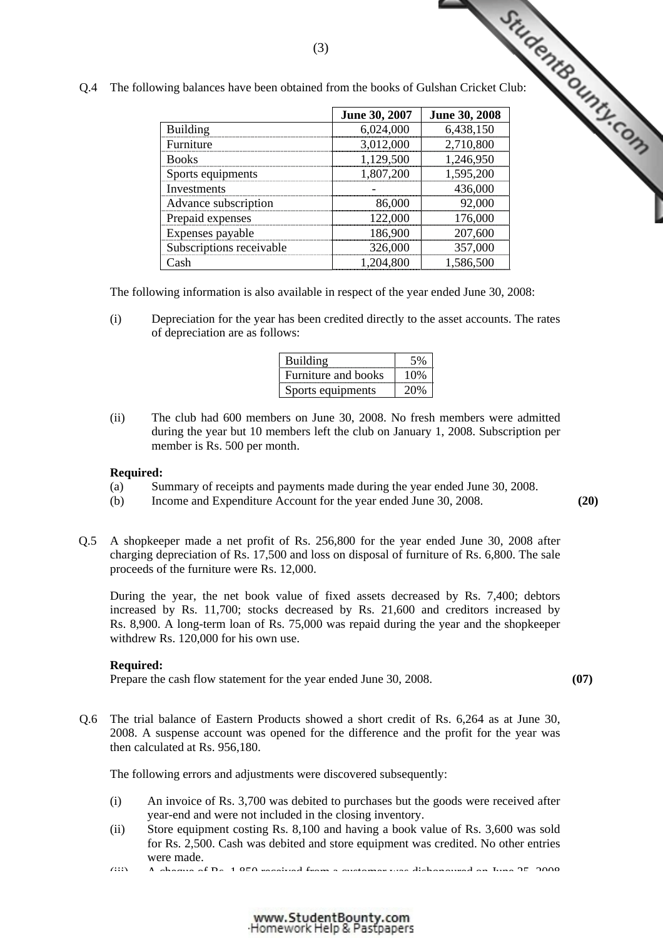| wing balances have been obtained from the books of Gulshan Cricket Club: | (3)           | StudentBounty.com |
|--------------------------------------------------------------------------|---------------|-------------------|
|                                                                          | June 30, 2007 | June 30, 2008     |
| <b>Building</b>                                                          | 6,024,000     | 6,438,150         |
| Furniture                                                                | 3,012,000     | 2,710,800         |
| <b>Books</b>                                                             | 1,129,500     | 1,246,950         |
| Sports equipments                                                        | 1,807,200     | 1,595,200         |
| Investments                                                              |               | 436,000           |
| Advance subscription                                                     | 86,000        | 92,000            |
| Prepaid expenses                                                         | 122,000       | 176,000           |
| Expenses payable                                                         | 186,900       | 207,600           |
| Subscriptions receivable                                                 | 326,000       | 357,000           |
| Cash                                                                     | 1,204,800     | 1,586,500         |

Q.4 The following balances have been obtained from the books of Gul[shan Cricket Club:](http://www.studentbounty.com/) 

(3)

The following information is also available in respect of the year ended June 30, 2008:

(i) Depreciation for the year has been credited directly to the asset accounts. The rates of depreciation are as follows:

| Building            | .5%  |
|---------------------|------|
| Furniture and books | 10\% |
| Sports equipments   | 20\% |

(ii) The club had 600 members on June 30, 2008. No fresh members were admitted during the year but 10 members left the club on January 1, 2008. Subscription per member is Rs. 500 per month.

## **Required:**

- (a) Summary of receipts and payments made during the year ended June 30, 2008.
- (b) Income and Expenditure Account for the year ended June 30, 2008. **(20)**
- Q.5 A shopkeeper made a net profit of Rs. 256,800 for the year ended June 30, 2008 after charging depreciation of Rs. 17,500 and loss on disposal of furniture of Rs. 6,800. The sale proceeds of the furniture were Rs. 12,000.

 During the year, the net book value of fixed assets decreased by Rs. 7,400; debtors increased by Rs. 11,700; stocks decreased by Rs. 21,600 and creditors increased by Rs. 8,900. A long-term loan of Rs. 75,000 was repaid during the year and the shopkeeper withdrew Rs. 120,000 for his own use.

## **Required:**

Prepare the cash flow statement for the year ended June 30, 2008. **(07) (07)** 

Q.6 The trial balance of Eastern Products showed a short credit of Rs. 6,264 as at June 30, 2008. A suspense account was opened for the difference and the profit for the year was then calculated at Rs. 956,180.

The following errors and adjustments were discovered subsequently:

- (i) An invoice of Rs. 3,700 was debited to purchases but the goods were received after year-end and were not included in the closing inventory.
- (ii) Store equipment costing Rs. 8,100 and having a book value of Rs. 3,600 was sold for Rs. 2,500. Cash was debited and store equipment was credited. No other entries were made.

 $(iii)$  A cheque of  $R_s$ , 1,850 received from a customer was dishonoured on June 25, 2008